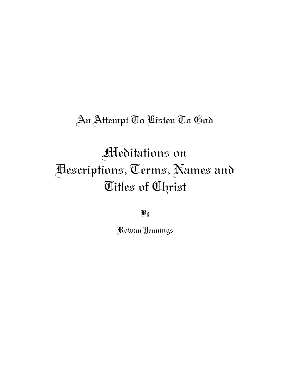## An Attempt To Listen To God

# Meditations on Descriptions, Terms, Names and Titles of Christ

By

Rowan Jennings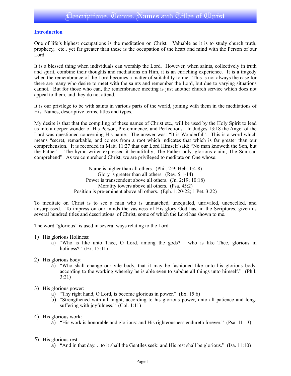#### **Introduction**

One of life's highest occupations is the meditation on Christ. Valuable as it is to study church truth, prophecy, etc., yet far greater than these is the occupation of the heart and mind with the Person of our Lord.

It is a blessed thing when individuals can worship the Lord. However, when saints, collectively in truth and spirit, combine their thoughts and mediations on Him, it is an enriching experience. It is a tragedy when the remembrance of the Lord becomes a matter of suitability to me. This is not always the case for there are many who desire to meet with the saints and remember the Lord, but due to varying situations cannot. But for those who can, the remembrance meeting is just another church service which does not appeal to them, and they do not attend.

It is our privilege to be with saints in various parts of the world, joining with them in the meditations of His Names, descriptive terms, titles and types.

My desire is that that the compiling of these names of Christ etc., will be used by the Holy Spirit to lead us into a deeper wonder of His Person, Pre-eminence, and Perfections. In Judges 13:18 the Angel of the Lord was questioned concerning His name. The answer was: "It is Wonderful". This is a word which means "secret, remarkable, and comes from a root which indicates that which is far greater than our comprehension. It is recorded in Matt. 11:27 that our Lord Himself said: "No man knoweth the Son, but the Father". The hymn-writer expressed it beautifully; The Father only, glorious claim, The Son can comprehend". As we comprehend Christ, we are privileged to meditate on One whose:

> Name is higher than all others. (Phil. 2:9; Heb. 1:4-8) Glory is greater than all others. (Rev. 5:1-14) Power is transcendent above all others. (Jn. 2:19; 10:18) Morality towers above all others. (Psa. 45:2) Position is pre-eminent above all others. (Eph. 1:20-22; 1 Pet. 3:22)

To meditate on Christ is to see a man who is unmatched, unequaled, unrivaled, unexcelled, and unsurpassed. To impress on our minds the vastness of His glory God has, in the Scriptures, given us several hundred titles and descriptions of Christ, some of which the Lord has shown to me.

The word "glorious" is used in several ways relating to the Lord.

- 1) His glorious Holiness:
	- a) "Who is like unto Thee, O Lord, among the gods? who is like Thee, glorious in holiness?" (Ex. 15:11)
- 2) His glorious body:
	- a) "Who shall change our vile body, that it may be fashioned like unto his glorious body, according to the working whereby he is able even to subdue all things unto himself." (Phil. 3:21)
- 3) His glorious power:
	- a) "Thy right hand, O Lord, is become glorious in power." (Ex. 15:6)
	- b) "Strengthened with all might, according to his glorious power, unto all patience and longsuffering with joyfulness." (Col. 1:11)
- 4) His glorious work:
	- a) "His work is honorable and glorious: and His righteousness endureth forever." (Psa. 111:3)
- 5) His glorious rest:
	- a) "And in that day. . .to it shall the Gentiles seek: and His rest shall be glorious." (Isa. 11:10)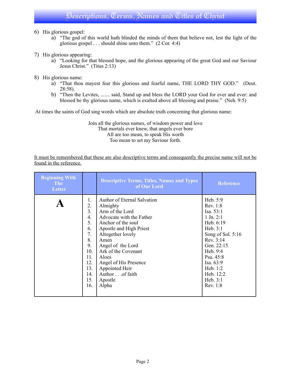- 6) His glorious gospel:
	- a) "The god of this world hath blinded the minds of them that believe not, lest the light of the glorious gospel . . . should shine unto them." (2 Cor. 4:4)
- 7) His glorious appearing:
	- a) "Looking for that blessed hope, and the glorious appearing of the great God and our Saviour Jesus Christ." (Titus 2:13)
- 8) His glorious name:
	- a) "That thou mayest fear this glorious and fearful name, THE LORD THY GOD." (Deut. 28:58).
	- b) "Then the Levites, ....... said, Stand up and bless the LORD your God for ever and ever: and blessed be thy glorious name, which is exalted above all blessing and praise." (Neh. 9:5)

At times the saints of God sing words which are absolute truth concerning that glorious name:

Join all the glorious names, of wisdom power and love That mortals ever knew, that angels ever bore All are too mean, to speak His worth Too mean to set my Saviour forth.

It must be remembered that these are also descriptive terms and consequently the precise name will not be found in the reference.

| <b>Beginning With</b><br><b>The</b><br>Letter |     | <b>Descriptive Terms, Titles, Names and Types</b><br>of Our Lord | <b>Reference</b>  |
|-----------------------------------------------|-----|------------------------------------------------------------------|-------------------|
|                                               | 1.  | <b>Author of Eternal Salvation</b>                               | Heb. $5:9$        |
|                                               | 2.  | Almighty                                                         | Rev. 1:8          |
|                                               | 3.  | Arm of the Lord                                                  | Isa. 53:1         |
|                                               | 4.  | Advocate with the Father                                         | $1$ Jn. $2:1$     |
|                                               | 5.  | Anchor of the soul                                               | Heb. 6:19         |
|                                               | 6.  | Apostle and High Priest                                          | Heb. $3:1$        |
|                                               | 7.  | Altogether lovely                                                | Song of Sol. 5:16 |
|                                               | 8.  | Amen                                                             | Rev. 3:14         |
|                                               | 9.  | Angel of the Lord                                                | Gen. 22:15        |
|                                               | 10. | Ark of the Covenant                                              | Heb. 9:4          |
|                                               | 11. | Aloes                                                            | Psa. 45:8         |
|                                               | 12. | Angel of His Presence                                            | Isa. 63:9         |
|                                               | 13. | Appointed Heir                                                   | Heb. 1:2          |
|                                               | 14. | Author of faith                                                  | Heb. 12:2         |
|                                               | 15. | Apostle                                                          | Heb. $3:1$        |
|                                               | 16. | Alpha                                                            | Rev. 1:8          |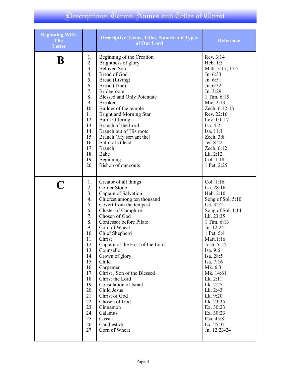| <b>Beginning With</b><br><b>The</b><br><b>Letter</b> |     | <b>Descriptive Terms, Titles, Names and Types</b><br>of Our Lord | <b>Reference</b>  |
|------------------------------------------------------|-----|------------------------------------------------------------------|-------------------|
| B                                                    | 1.  | Beginning of the Creation                                        | Rev. 3:14         |
|                                                      | 2.  | Brightness of glory                                              | Heb. 1:3          |
|                                                      | 3.  | <b>Beloved Son</b>                                               | Matt. 3:17; 17:5  |
|                                                      | 4.  | Bread of God                                                     | Jn. 6:33          |
|                                                      | 5.  | Bread (Living)                                                   | Jn. 6:51          |
|                                                      | 6.  | Bread (True)                                                     | Jn. 6:32          |
|                                                      | 7.  | Bridegroom                                                       | Jn. 3:29          |
|                                                      | 8.  | <b>Blessed and Only Potentate</b>                                | 1 Tim. 6:15       |
|                                                      | 9.  | <b>Breaker</b>                                                   | Mic. 2:13         |
|                                                      | 10. | Builder of the temple                                            | Zech. 6:12-13     |
|                                                      | 11. | <b>Bright and Morning Star</b>                                   | Rev. 22:16        |
|                                                      | 12. | <b>Burnt Offering</b>                                            | Lev. 1:1-17       |
|                                                      | 13. | Branch of the Lord                                               | Isa. 4:2          |
|                                                      | 14. | Branch out of His roots                                          | Isa. 11:1         |
|                                                      | 15. | Branch (My servant the)                                          | Zech. 3:8         |
|                                                      | 16. | Balm of Gilead                                                   | Jer. 8:22         |
|                                                      | 17. | <b>Branch</b>                                                    | Zech. 6:12        |
|                                                      | 18. | Babe                                                             | Lk. 2:12          |
|                                                      | 19. | Beginning                                                        | Col. 1:18         |
|                                                      | 20. | Bishop of our souls                                              | 1 Pet. 2:25       |
|                                                      | 1.  | Creator of all things                                            | Col. 1:16         |
|                                                      | 2.  | Corner Stone                                                     | Isa. 28:16        |
|                                                      | 3.  | Captain of Salvation                                             | Heb. 2:10         |
|                                                      | 4.  | Chiefest among ten thousand                                      | Song of Sol. 5:10 |
|                                                      | 5.  | Covert from the tempest                                          | Isa. 32:2         |
|                                                      | 6.  | Cluster of Camphire                                              | Song of Sol. 1:14 |
|                                                      | 7.  | Chosen of God                                                    | Lk. 23:35         |
|                                                      | 8.  | Confessor before Pilate                                          | 1 Tim. 6:13       |
|                                                      | 9.  | Corn of Wheat                                                    | Jn. 12:24         |
|                                                      | 10. | Chief Shepherd                                                   | 1 Pet. 5:4        |
|                                                      | 11. | Christ                                                           | Matt.1:16         |
|                                                      | 12. | Captain of the Host of the Lord                                  | Josh. 5:14        |
|                                                      | 13. | Counsellor                                                       | Isa. 9:6          |
|                                                      | 14. | Crown of glory                                                   | Isa. 28:5         |
|                                                      | 15. | Child                                                            | Isa. 7:16         |
|                                                      | 16. | Carpenter                                                        | Mk. 6:3           |
|                                                      | 17. | Christ, Son of the Blessed                                       | Mk. 14:61         |
|                                                      | 18. | Christ the Lord                                                  | Lk. 2:11          |
|                                                      | 19. | Consolation of Israel                                            | Lk. 2:25          |
|                                                      | 20. | Child Jesus                                                      | Lk. 2:43          |
|                                                      | 21. | Christ of God                                                    | Lk. 9:20          |
|                                                      | 22. | Chosen of God                                                    | Lk. 23:35         |
|                                                      | 23. | Cinnamon                                                         | Ex. 30:23         |
|                                                      | 24. | Calamus                                                          | Ex. 30:23         |
|                                                      | 25. | Cassia                                                           | Psa. 45:8         |
|                                                      | 26. | Candlestick                                                      | Ex. 25:31         |
|                                                      | 27. | Corn of Wheat                                                    | Jn. 12:23-24      |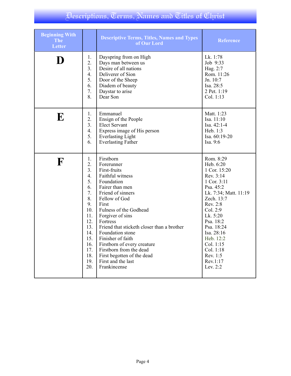| <b>Beginning With</b><br><b>The</b><br><b>Letter</b> |                | <b>Descriptive Terms, Titles, Names and Types</b><br>of Our Lord | <b>Reference</b>      |
|------------------------------------------------------|----------------|------------------------------------------------------------------|-----------------------|
| D                                                    | 1.             | Dayspring from on High                                           | Lk. 1:78              |
|                                                      | 2.             | Days man between us                                              | Job 9:33              |
|                                                      | 3 <sub>1</sub> | Desire of all nations                                            | Hag. 2:7              |
|                                                      | 4.             | Deliverer of Sion                                                | Rom. 11:26            |
|                                                      | 5.             | Door of the Sheep                                                | Jn. 10:7              |
|                                                      | 6.             | Diadem of beauty                                                 | Isa. 28:5             |
|                                                      | 7.             | Daystar to arise                                                 | 2 Pet. 1:19           |
|                                                      | 8.             | Dear Son                                                         | Col. 1:13             |
| E                                                    | 1.             | Emmanuel                                                         | Matt. 1:23            |
|                                                      | 2.             | Ensign of the People                                             | Isa. 11:10            |
|                                                      | 3.             | <b>Elect Servant</b>                                             | Isa. 42:1-4           |
|                                                      | 4.             | Express image of His person                                      | Heb. 1:3              |
|                                                      | 5.             | <b>Everlasting Light</b>                                         | Isa. 60:19-20         |
|                                                      | 6.             | <b>Everlasting Father</b>                                        | Isa. 9:6              |
| F                                                    | 1.             | Firstborn                                                        | Rom. 8:29             |
|                                                      | 2.             | Forerunner                                                       | Heb. 6:20             |
|                                                      | 3 <sub>1</sub> | First-fruits                                                     | 1 Cor. 15:20          |
|                                                      | 4.             | Faithful witness                                                 | Rev. 3:14             |
|                                                      | 5.             | Foundation                                                       | 1 Cor. 3:11           |
|                                                      | 6.             | Fairer than men                                                  | Psa. 45:2             |
|                                                      | 7.             | Friend of sinners                                                | Lk. 7:34; Matt. 11:19 |
|                                                      | 8.             | Fellow of God                                                    | Zech. 13:7            |
|                                                      | 9.             | First                                                            | Rev. 2:8              |
|                                                      | 10.            | Fulness of the Godhead                                           | Col. 2:9              |
|                                                      | 11.            | Forgiver of sins                                                 | Lk. 5:20              |
|                                                      | 12.            | Fortress                                                         | Psa. 18:2             |
|                                                      | 13.            | Friend that sticketh closer than a brother                       | Psa. 18:24            |
|                                                      | 14.            | Foundation stone                                                 | Isa. 28:16            |
|                                                      | 15.            | Finisher of faith                                                | Heb. 12:2             |
|                                                      | 16.            | Firstborn of every creature                                      | Col. 1:15             |
|                                                      | 17.            | Firstborn from the dead                                          | Col. 1:18             |
|                                                      | 18.            | First begotten of the dead                                       | Rev. 1:5              |
|                                                      | 19.            | First and the last                                               | Rev.1:17              |
|                                                      | 20.            | Frankincense                                                     | Lev. 2:2              |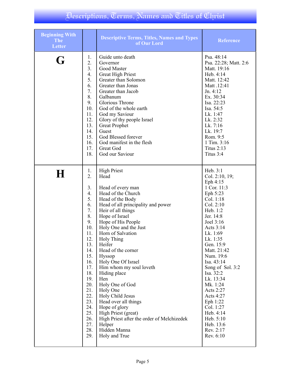| <b>Beginning With</b><br><b>The</b><br><b>Letter</b> |                                                                                                                                                                                                              | <b>Descriptive Terms, Titles, Names and Types</b><br>of Our Lord                                                                                                                                                                                                                                                                                                                                                                                                                                                                                                                               | <b>Reference</b>                                                                                                                                                                                                                                                                                                                                                                                              |
|------------------------------------------------------|--------------------------------------------------------------------------------------------------------------------------------------------------------------------------------------------------------------|------------------------------------------------------------------------------------------------------------------------------------------------------------------------------------------------------------------------------------------------------------------------------------------------------------------------------------------------------------------------------------------------------------------------------------------------------------------------------------------------------------------------------------------------------------------------------------------------|---------------------------------------------------------------------------------------------------------------------------------------------------------------------------------------------------------------------------------------------------------------------------------------------------------------------------------------------------------------------------------------------------------------|
| G                                                    | 1.<br>2.<br>3.<br>4.<br>5.<br>6.<br>7.<br>8.<br>9.<br>10.<br>11.<br>12.<br>13.<br>14.<br>15.<br>16.<br>17.<br>18.                                                                                            | Guide unto death<br>Governor<br>Good Master<br><b>Great High Priest</b><br>Greater than Solomon<br>Greater than Jonas<br>Greater than Jacob<br>Galbanum<br>Glorious Throne<br>God of the whole earth<br>God my Saviour<br>Glory of thy people Israel<br><b>Great Prophet</b><br>Guest<br>God Blessed forever<br>God manifest in the flesh<br>Great God<br>God our Saviour                                                                                                                                                                                                                      | Psa. 48:14<br>Psa. 22:28; Matt. 2:6<br>Matt. 19:16<br>Heb. 4:14<br>Matt. 12:42<br>Matt .12:41<br>Jn. 4:12<br>Ex. 30:34<br>Isa. 22:23<br>Isa. 54:5<br>Lk. 1:47<br>Lk. 2:32<br>Lk. 7:16<br>Lk. 19:7<br>Rom. 9:5<br>1 Tim. 3:16<br><b>Titus 2:13</b><br>Titus 3:4                                                                                                                                                |
| H                                                    | 1.<br>$\overline{2}$ .<br>3.<br>4.<br>5.<br>6.<br>7.<br>8.<br>9.<br>10.<br>11.<br>12.<br>13.<br>14.<br>15.<br>16.<br>17.<br>18.<br>19.<br>20.<br>21.<br>22.<br>23.<br>24.<br>25.<br>26.<br>27.<br>28.<br>29. | <b>High Priest</b><br>Head<br>Head of every man<br>Head of the Church<br>Head of the Body<br>Head of all principality and power<br>Heir of all things<br>Hope of Israel<br>Hope of His People<br>Holy One and the Just<br>Horn of Salvation<br><b>Holy Thing</b><br>Heifer<br>Head of the corner<br>Hyssop<br>Holy One Of Israel<br>Him whom my soul loveth<br>Hiding place<br>Hen<br>Holy One of God<br>Holy One<br>Holy Child Jesus<br>Head over all things<br>Hope of glory<br>High Priest (great)<br>High Priest after the order of Melchizedek<br>Helper<br>Hidden Manna<br>Holy and True | Heb. 3:1<br>Col. 2:10, 19;<br>Eph 4:15<br>1 Cor. 11:3<br>Eph 5:23<br>Col. 1:18<br>Col. 2:10<br>Heb. 1:2<br>Jer. 14:8<br>Joel 3:16<br>Acts 3:14<br>Lk. 1:69<br>Lk. 1:35<br>Gen. 15:9<br>Matt. 21:42<br>Num. 19:6<br>Isa. 43:14<br>Song of Sol. 3:2<br>Isa. 32:2<br>Lk. 13:34<br>Mk. 1:24<br>Acts 2:27<br>Acts $4:27$<br>Eph 1:22<br>Col. 1:27<br>Heb. 4:14<br>Heb. 5:10<br>Heb. 13:6<br>Rev. 2:17<br>Rev. 6:10 |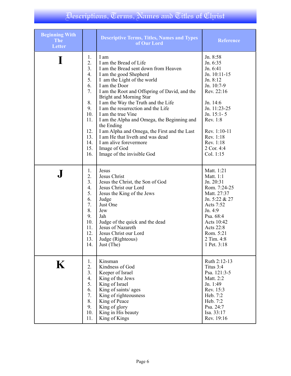| <b>Beginning With</b><br><b>The</b><br><b>Letter</b> |                                                                                                     | <b>Descriptive Terms, Titles, Names and Types</b><br>of Our Lord                                                                                                                                                                                                                                                                                                                                                                                                                                                                                                | <b>Reference</b>                                                                                                                                                                                                        |
|------------------------------------------------------|-----------------------------------------------------------------------------------------------------|-----------------------------------------------------------------------------------------------------------------------------------------------------------------------------------------------------------------------------------------------------------------------------------------------------------------------------------------------------------------------------------------------------------------------------------------------------------------------------------------------------------------------------------------------------------------|-------------------------------------------------------------------------------------------------------------------------------------------------------------------------------------------------------------------------|
|                                                      | 1.<br>2.<br>3.<br>4.<br>5.<br>6.<br>7.<br>8.<br>9.<br>10.<br>11.<br>12.<br>13.<br>14.<br>15.<br>16. | I am<br>I am the Bread of Life<br>I am the Bread sent down from Heaven<br>I am the good Shepherd<br>I am the Light of the world<br>I am the Door<br>I am the Root and Offspring of David, and the<br><b>Bright and Morning Star</b><br>I am the Way the Truth and the Life<br>I am the resurrection and the Life<br>I am the true Vine<br>I am the Alpha and Omega, the Beginning and<br>the Ending<br>I am Alpha and Omega, the First and the Last<br>I am He that liveth and was dead<br>I am alive forevermore<br>Image of God<br>Image of the invisible God | Jn. 8:58<br>Jn. 6:35<br>Jn. 6:41<br>Jn. 10:11-15<br>Jn. 8:12<br>Jn. 10:7-9<br>Rev. 22:16<br>Jn. 14:6<br>Jn. 11:23-25<br>Jn. $15:1 - 5$<br>Rev. 1:8<br>Rev. 1:10-11<br>Rev. 1:18<br>Rev. 1:18<br>2 Cor. 4:4<br>Col. 1:15 |
|                                                      | 1.                                                                                                  | Jesus                                                                                                                                                                                                                                                                                                                                                                                                                                                                                                                                                           | Matt. 1:21                                                                                                                                                                                                              |
|                                                      | 2.                                                                                                  | Jesus Christ                                                                                                                                                                                                                                                                                                                                                                                                                                                                                                                                                    | Matt. 1:1                                                                                                                                                                                                               |
|                                                      | 3.                                                                                                  | Jesus the Christ, the Son of God                                                                                                                                                                                                                                                                                                                                                                                                                                                                                                                                | Jn. 20:31                                                                                                                                                                                                               |
|                                                      | 4.                                                                                                  | Jesus Christ our Lord                                                                                                                                                                                                                                                                                                                                                                                                                                                                                                                                           | Rom. 7:24-25                                                                                                                                                                                                            |
|                                                      | 5.                                                                                                  | Jesus the King of the Jews                                                                                                                                                                                                                                                                                                                                                                                                                                                                                                                                      | Matt. 27:37                                                                                                                                                                                                             |
|                                                      | 6.                                                                                                  | Judge                                                                                                                                                                                                                                                                                                                                                                                                                                                                                                                                                           | Jn. 5:22 & 27                                                                                                                                                                                                           |
|                                                      | 7.                                                                                                  | Just One                                                                                                                                                                                                                                                                                                                                                                                                                                                                                                                                                        | Acts 7:52                                                                                                                                                                                                               |
|                                                      | 8.                                                                                                  | Jew                                                                                                                                                                                                                                                                                                                                                                                                                                                                                                                                                             | Jn. 4:9                                                                                                                                                                                                                 |
|                                                      | 9.                                                                                                  | Jah                                                                                                                                                                                                                                                                                                                                                                                                                                                                                                                                                             | Psa. 68:4                                                                                                                                                                                                               |
|                                                      | 10.                                                                                                 | Judge of the quick and the dead                                                                                                                                                                                                                                                                                                                                                                                                                                                                                                                                 | Acts 10:42                                                                                                                                                                                                              |
|                                                      | 11.                                                                                                 | Jesus of Nazareth                                                                                                                                                                                                                                                                                                                                                                                                                                                                                                                                               | Acts 22:8                                                                                                                                                                                                               |
|                                                      | 12.                                                                                                 | Jesus Christ our Lord                                                                                                                                                                                                                                                                                                                                                                                                                                                                                                                                           | Rom. 5:21                                                                                                                                                                                                               |
|                                                      | 13.                                                                                                 | Judge (Righteous)                                                                                                                                                                                                                                                                                                                                                                                                                                                                                                                                               | 2 Tim. 4:8                                                                                                                                                                                                              |
|                                                      | 14.                                                                                                 | Just (The)                                                                                                                                                                                                                                                                                                                                                                                                                                                                                                                                                      | 1 Pet. 3:18                                                                                                                                                                                                             |
| $\bf K$                                              | 1.                                                                                                  | Kinsman                                                                                                                                                                                                                                                                                                                                                                                                                                                                                                                                                         | Ruth 2:12-13                                                                                                                                                                                                            |
|                                                      | 2.                                                                                                  | Kindness of God                                                                                                                                                                                                                                                                                                                                                                                                                                                                                                                                                 | Titus 3:4                                                                                                                                                                                                               |
|                                                      | 3.                                                                                                  | Keeper of Israel                                                                                                                                                                                                                                                                                                                                                                                                                                                                                                                                                | Psa. 121:3-5                                                                                                                                                                                                            |
|                                                      | 4.                                                                                                  | King of the Jews                                                                                                                                                                                                                                                                                                                                                                                                                                                                                                                                                | Matt. 2:2                                                                                                                                                                                                               |
|                                                      | 5.                                                                                                  | King of Israel                                                                                                                                                                                                                                                                                                                                                                                                                                                                                                                                                  | Jn. 1:49                                                                                                                                                                                                                |
|                                                      | 6.                                                                                                  | King of saints/ ages                                                                                                                                                                                                                                                                                                                                                                                                                                                                                                                                            | Rev. 15:3                                                                                                                                                                                                               |
|                                                      | 7.                                                                                                  | King of righteousness                                                                                                                                                                                                                                                                                                                                                                                                                                                                                                                                           | Heb. 7:2                                                                                                                                                                                                                |
|                                                      | 8.                                                                                                  | King of Peace                                                                                                                                                                                                                                                                                                                                                                                                                                                                                                                                                   | Heb. 7:2                                                                                                                                                                                                                |
|                                                      | 9.                                                                                                  | King of glory                                                                                                                                                                                                                                                                                                                                                                                                                                                                                                                                                   | Psa. 24:7                                                                                                                                                                                                               |
|                                                      | 10.                                                                                                 | King in His beauty                                                                                                                                                                                                                                                                                                                                                                                                                                                                                                                                              | Isa. 33:17                                                                                                                                                                                                              |
|                                                      | 11.                                                                                                 | King of Kings                                                                                                                                                                                                                                                                                                                                                                                                                                                                                                                                                   | Rev. 19:16                                                                                                                                                                                                              |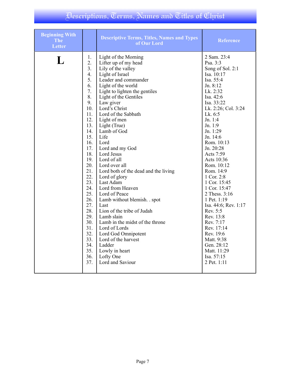| <b>Beginning With</b><br><b>The</b><br><b>Letter</b> |                  | <b>Descriptive Terms, Titles, Names and Types</b><br>of Our Lord | <b>Reference</b>     |
|------------------------------------------------------|------------------|------------------------------------------------------------------|----------------------|
| L                                                    | 1.               | Light of the Morning                                             | 2 Sam. 23:4          |
|                                                      | $\overline{2}$ . | Lifter up of my head                                             | Psa. 3:3             |
|                                                      | 3.               | Lily of the valley                                               | Song of Sol. 2:1     |
|                                                      | 4.               | Light of Israel                                                  | Isa. 10:17           |
|                                                      | 5.               | Leader and commander                                             | Isa. 55:4            |
|                                                      | 6.               | Light of the world                                               | Jn. 8:12             |
|                                                      | 7.               | Light to lighten the gentiles                                    | Lk. 2:32             |
|                                                      | 8.               | Light of the Gentiles                                            | Isa. 42:6            |
|                                                      | 9.               | Law giver                                                        | Isa. 33:22           |
|                                                      | 10.              | Lord's Christ                                                    | Lk. 2:26; Col. 3:24  |
|                                                      | 11.              | Lord of the Sabbath                                              | Lk. 6:5              |
|                                                      | 12.              | Light of men                                                     | Jn. 1:4              |
|                                                      | 13.              | Light (True)                                                     | Jn. 1:9              |
|                                                      | 14.              | Lamb of God                                                      | Jn. 1:29             |
|                                                      | 15.              | Life                                                             | Jn. 14:6             |
|                                                      | 16.              | Lord                                                             | Rom. 10:13           |
|                                                      | 17.              | Lord and my God                                                  | Jn. 20:28            |
|                                                      | 18.              | Lord Jesus                                                       | Acts 7:59            |
|                                                      | 19.              | Lord of all                                                      | Acts 10:36           |
|                                                      | 20.              | Lord over all                                                    | Rom. 10:12           |
|                                                      | 21.              | Lord both of the dead and the living                             | Rom. 14:9            |
|                                                      | 22.              | Lord of glory                                                    | 1 Cor. 2:8           |
|                                                      | 23.              | Last Adam                                                        | 1 Cor. 15:45         |
|                                                      | 24.              | Lord from Heaven                                                 | 1 Cor. 15:47         |
|                                                      | 25.              | Lord of Peace                                                    | 2 Thess. 3:16        |
|                                                      | 26.              | Lamb without blemish. . spot                                     | 1 Pet. 1:19          |
|                                                      | 27.              | Last                                                             | Isa. 44:6; Rev. 1:17 |
|                                                      | 28.              | Lion of the tribe of Judah                                       | Rev. 5:5             |
|                                                      | 29.              | Lamb slain                                                       | Rev. 13:8            |
|                                                      | 30.              | Lamb in the midst of the throne                                  | Rev. 7:17            |
|                                                      | 31.              | Lord of Lords                                                    | Rev. 17:14           |
|                                                      | 32.              | Lord God Omnipotent                                              | Rev. 19:6            |
|                                                      | 33.              | Lord of the harvest                                              | Matt. 9:38           |
|                                                      | 34.              | Ladder                                                           | Gen. 28:12           |
|                                                      | 35.              | Lowly in heart                                                   | Matt. 11:29          |
|                                                      | 36.              | Lofty One                                                        | Isa. 57:15           |
|                                                      | 37.              | Lord and Saviour                                                 | 2 Pet. 1:11          |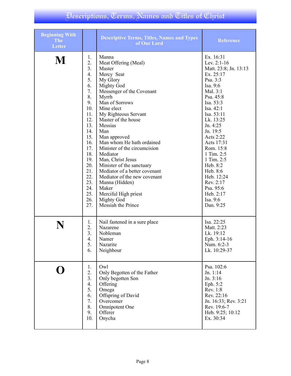| <b>Beginning With</b><br><b>The</b><br><b>Letter</b> |     | <b>Descriptive Terms, Titles, Names and Types</b><br>of Our Lord | <b>Reference</b>      |
|------------------------------------------------------|-----|------------------------------------------------------------------|-----------------------|
| M                                                    | 1.  | Manna                                                            | Ex. 16:31             |
|                                                      | 2.  | Meat Offering (Meal)                                             | Lev. $2:1-16$         |
|                                                      | 3.  | Master                                                           | Matt. 23:8; Jn. 13:13 |
|                                                      | 4.  | Mercy Seat                                                       | Ex. 25:17             |
|                                                      | 5.  | My Glory                                                         | Psa. 3:3              |
|                                                      | 6.  | <b>Mighty God</b>                                                | Isa. 9:6              |
|                                                      | 7.  | Messenger of the Covenant                                        | Mal. 3:1              |
|                                                      | 8.  | Myrrh                                                            | Psa. 45:8             |
|                                                      | 9.  | Man of Sorrows                                                   | Isa. 53:3             |
|                                                      | 10. | Mine elect                                                       | Isa. 42:1             |
|                                                      | 11. | My Righteous Servant                                             | Isa. 53:11            |
|                                                      | 12. | Master of the house                                              | Lk. 13:25             |
|                                                      | 13. | Messias                                                          | Jn. 4:25              |
|                                                      | 14. | Man                                                              | Jn. 19:5              |
|                                                      | 15. | Man approved                                                     | Acts 2:22             |
|                                                      | 16. | Man whom He hath ordained                                        | Acts 17:31            |
|                                                      | 17. | Minister of the circumcision                                     | Rom. 15:8             |
|                                                      | 18. | Mediator                                                         | 1 Tim. 2:5            |
|                                                      | 19. | Man, Christ Jesus                                                | 1 Tim. 2:5            |
|                                                      | 20. | Minister of the sanctuary                                        | Heb. 8:2              |
|                                                      | 21. | Mediator of a better covenant                                    | Heb. 8:6              |
|                                                      | 22. | Mediator of the new covenant                                     | Heb. 12:24            |
|                                                      | 23. | Manna (Hidden)                                                   | Rev. 2:17             |
|                                                      | 24. | Maker                                                            | Psa. 95:6             |
|                                                      | 25. | Merciful High priest                                             | Heb. 2:17             |
|                                                      | 26. | <b>Mighty God</b>                                                | Isa. 9:6              |
|                                                      | 27. | Messiah the Prince                                               | Dan. 9:25             |
|                                                      | 1.  | Nail fastened in a sure place                                    | Isa. 22:25            |
|                                                      | 2.  | Nazarene                                                         | Matt. 2:23            |
|                                                      | 3.  | Nobleman                                                         | Lk. 19:12             |
|                                                      | 4.  | Namer                                                            | Eph. 3:14-16          |
|                                                      | 5.  | Nazarite                                                         | Num. 6:2-3            |
|                                                      | 6.  | Neighbour                                                        | Lk. 10:29-37          |
|                                                      | 1.  | Owl                                                              | Psa. 102:6            |
|                                                      | 2.  | Only Begotten of the Father                                      | Jn. 1:14              |
|                                                      | 3.  | Only begotten Son                                                | Jn. 3:16              |
|                                                      | 4.  | Offering                                                         | Eph. 5:2              |
|                                                      | 5.  | Omega                                                            | Rev. 1:8              |
|                                                      | 6.  | Offspring of David                                               | Rev. 22:16            |
|                                                      | 7.  | Overcomer                                                        | Jn. 16:33; Rev. 3:21  |
|                                                      | 8.  | Omnipotent One                                                   | Rev. 19:6-7           |
|                                                      | 9.  | Offerer                                                          | Heb. 9:25; 10:12      |
|                                                      | 10. | Onycha                                                           | Ex. 30:34             |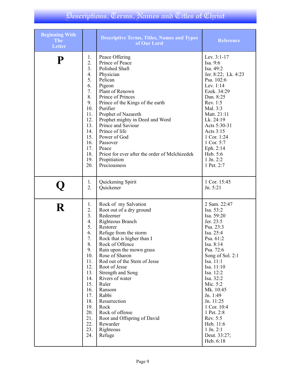| <b>Beginning With</b><br><b>The</b><br><b>Letter</b> |                                                                                                                                                             | <b>Descriptive Terms, Titles, Names and Types</b><br>of Our Lord                                                                                                                                                                                                                                                                                                                                                                                       | <b>Reference</b>                                                                                                                                                                                                                                                                                                                                     |
|------------------------------------------------------|-------------------------------------------------------------------------------------------------------------------------------------------------------------|--------------------------------------------------------------------------------------------------------------------------------------------------------------------------------------------------------------------------------------------------------------------------------------------------------------------------------------------------------------------------------------------------------------------------------------------------------|------------------------------------------------------------------------------------------------------------------------------------------------------------------------------------------------------------------------------------------------------------------------------------------------------------------------------------------------------|
| P                                                    | 1.                                                                                                                                                          | Peace Offering                                                                                                                                                                                                                                                                                                                                                                                                                                         | Lev. 3:1-17                                                                                                                                                                                                                                                                                                                                          |
|                                                      | 2.                                                                                                                                                          | Prince of Peace                                                                                                                                                                                                                                                                                                                                                                                                                                        | Isa. 9:6                                                                                                                                                                                                                                                                                                                                             |
|                                                      | 3.                                                                                                                                                          | Polished Shaft                                                                                                                                                                                                                                                                                                                                                                                                                                         | Isa. 49:2                                                                                                                                                                                                                                                                                                                                            |
|                                                      | 4.                                                                                                                                                          | Physician                                                                                                                                                                                                                                                                                                                                                                                                                                              | Jer. 8:22; Lk. 4:23                                                                                                                                                                                                                                                                                                                                  |
|                                                      | 5.                                                                                                                                                          | Pelican                                                                                                                                                                                                                                                                                                                                                                                                                                                | Psa. 102:6                                                                                                                                                                                                                                                                                                                                           |
|                                                      | 6.                                                                                                                                                          | Pigeon                                                                                                                                                                                                                                                                                                                                                                                                                                                 | Lev. 1:14                                                                                                                                                                                                                                                                                                                                            |
|                                                      | 7.                                                                                                                                                          | Plant of Renown                                                                                                                                                                                                                                                                                                                                                                                                                                        | Ezek. 34:29                                                                                                                                                                                                                                                                                                                                          |
|                                                      | 8.                                                                                                                                                          | Prince of Princes                                                                                                                                                                                                                                                                                                                                                                                                                                      | Dan. 8:25                                                                                                                                                                                                                                                                                                                                            |
|                                                      | 9.                                                                                                                                                          | Prince of the Kings of the earth                                                                                                                                                                                                                                                                                                                                                                                                                       | Rev. 1:5                                                                                                                                                                                                                                                                                                                                             |
|                                                      | 10.                                                                                                                                                         | Purifier                                                                                                                                                                                                                                                                                                                                                                                                                                               | Mal. 3:3                                                                                                                                                                                                                                                                                                                                             |
|                                                      | 11.                                                                                                                                                         | Prophet of Nazareth                                                                                                                                                                                                                                                                                                                                                                                                                                    | Matt. 21:11                                                                                                                                                                                                                                                                                                                                          |
|                                                      | 12.                                                                                                                                                         | Prophet mighty in Deed and Word                                                                                                                                                                                                                                                                                                                                                                                                                        | Lk. 24:19                                                                                                                                                                                                                                                                                                                                            |
|                                                      | 13.                                                                                                                                                         | Prince and Saviour                                                                                                                                                                                                                                                                                                                                                                                                                                     | Acts 5:30-31                                                                                                                                                                                                                                                                                                                                         |
|                                                      | 14.                                                                                                                                                         | Prince of life                                                                                                                                                                                                                                                                                                                                                                                                                                         | Acts 3:15                                                                                                                                                                                                                                                                                                                                            |
|                                                      | 15.                                                                                                                                                         | Power of God                                                                                                                                                                                                                                                                                                                                                                                                                                           | 1 Cor. 1:24                                                                                                                                                                                                                                                                                                                                          |
|                                                      | 16.                                                                                                                                                         | Passover                                                                                                                                                                                                                                                                                                                                                                                                                                               | 1 Cor. 5:7                                                                                                                                                                                                                                                                                                                                           |
|                                                      | 17.                                                                                                                                                         | Peace                                                                                                                                                                                                                                                                                                                                                                                                                                                  | Eph. 2:14                                                                                                                                                                                                                                                                                                                                            |
|                                                      | 18.                                                                                                                                                         | Priest for ever after the order of Melchizedek                                                                                                                                                                                                                                                                                                                                                                                                         | Heb. 5:6                                                                                                                                                                                                                                                                                                                                             |
|                                                      | 19.                                                                                                                                                         | Propitiation                                                                                                                                                                                                                                                                                                                                                                                                                                           | $1$ Jn. $2:2$                                                                                                                                                                                                                                                                                                                                        |
|                                                      | 20.                                                                                                                                                         | Preciousness                                                                                                                                                                                                                                                                                                                                                                                                                                           | 1 Pet. 2:7                                                                                                                                                                                                                                                                                                                                           |
|                                                      | 1.                                                                                                                                                          | Quickening Spirit                                                                                                                                                                                                                                                                                                                                                                                                                                      | 1 Cor. 15:45                                                                                                                                                                                                                                                                                                                                         |
|                                                      | 2.                                                                                                                                                          | Quickener                                                                                                                                                                                                                                                                                                                                                                                                                                              | Jn. 5:21                                                                                                                                                                                                                                                                                                                                             |
| R                                                    | 1.<br>2.<br>3.<br>4.<br>5.<br>6.<br>7.<br>8.<br>9.<br>10.<br>11.<br>12.<br>13.<br>14.<br>15.<br>16.<br>17.<br>18.<br>19.<br>20.<br>21.<br>22.<br>23.<br>24. | Rock of my Salvation<br>Root out of a dry ground<br>Redeemer<br>Righteous Branch<br>Restorer<br>Refuge from the storm<br>Rock that is higher than I<br>Rock of Offence<br>Rain upon the mown grass<br>Rose of Sharon<br>Rod out of the Stem of Jesse<br>Root of Jesse<br>Strength and Song<br>Rivers of water<br>Ruler<br>Ransom<br>Rabbi<br>Resurrection<br>Rock<br>Rock of offense<br>Root and Offspring of David<br>Rewarder<br>Righteous<br>Refuge | 2 Sam. 22:47<br>Isa. 53:2<br>Isa. 59:20<br>Jer. 23:5<br>Psa. 23:3<br>Isa. 25:4<br>Psa. 61:2<br>Isa. 8:14<br>Psa. 72:6<br>Song of Sol. 2:1<br>Isa. 11:1<br>Isa. 11:10<br>Isa. 12:2<br>Isa. 32:2<br>Mic. 5:2<br>Mk. 10:45<br>Jn. 1:49<br>Jn. 11:25<br>1 Cor. 10:4<br>1 Pet. 2:8<br>Rev. 5:5<br>Heb. 11:6<br>$1$ Jn. $2:1$<br>Deut. 33:27;<br>Heb. 6:18 |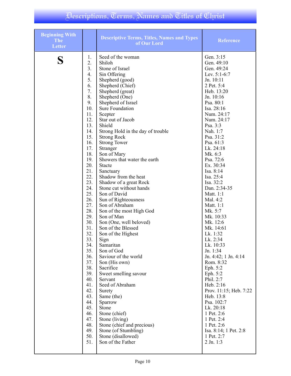| <b>Beginning With</b><br><b>The</b><br><b>Letter</b> |     | <b>Descriptive Terms, Titles, Names and Types</b><br>of Our Lord | <b>Reference</b>       |
|------------------------------------------------------|-----|------------------------------------------------------------------|------------------------|
|                                                      | 1.  | Seed of the woman                                                | Gen. 3:15              |
|                                                      | 2.  | Shiloh                                                           | Gen. 49:10             |
|                                                      | 3.  | Stone of Israel                                                  | Gen. 49:24             |
|                                                      | 4.  | Sin Offering                                                     | Lev. $5:1-6:7$         |
|                                                      | 5.  | Shepherd (good)                                                  | Jn. 10:11              |
|                                                      | 6.  | Shepherd (Chief)                                                 | 2 Pet. 5:4             |
|                                                      | 7.  | Shepherd (great)                                                 | Heb. 13:20             |
|                                                      | 8.  | Shepherd (One)                                                   | Jn. 10:16              |
|                                                      | 9.  | Shepherd of Israel                                               | Psa. 80:1              |
|                                                      | 10. | <b>Sure Foundation</b>                                           | Isa. 28:16             |
|                                                      | 11. | Scepter                                                          | Num. 24:17             |
|                                                      | 12. | Star out of Jacob                                                | Num. 24:17             |
|                                                      | 13. | Shield                                                           | Psa. 3:3               |
|                                                      | 14. | Strong Hold in the day of trouble                                | Nah. 1:7               |
|                                                      | 15. | <b>Strong Rock</b>                                               | Psa. 31:2              |
|                                                      | 16. | <b>Strong Tower</b>                                              | Psa. 61:3              |
|                                                      | 17. | Stranger                                                         | Lk. 24:18              |
|                                                      | 18. | Son of Mary                                                      | Mk. 6:3                |
|                                                      | 19. | Showers that water the earth                                     | Psa. 72:6              |
|                                                      | 20. | <b>Stacte</b>                                                    | Ex. 30:34              |
|                                                      | 21. | Sanctuary                                                        | Isa. 8:14              |
|                                                      | 22. | Shadow from the heat                                             | Isa. 25:4              |
|                                                      | 23. | Shadow of a great Rock                                           | Isa. 32:2              |
|                                                      | 24. | Stone cut without hands                                          | Dan. 2:34-35           |
|                                                      | 25. | Son of David                                                     | Matt. 1:1              |
|                                                      | 26. | Sun of Righteousness                                             | Mal. 4:2               |
|                                                      | 27. | Son of Abraham                                                   | Matt. 1:1              |
|                                                      | 28. | Son of the most High God                                         | Mk. 5:7                |
|                                                      | 29. | Son of Man                                                       | Mk. 10:33              |
|                                                      | 30. | Son (One, well beloved)                                          | Mk. 12:6               |
|                                                      | 31. | Son of the Blessed                                               | Mk. 14:61              |
|                                                      | 32. | Son of the Highest                                               | Lk. 1:32               |
|                                                      | 33. | Sign                                                             | Lk. 2:34               |
|                                                      | 34. | Samaritan                                                        | Lk. 10:33              |
|                                                      | 35. | Son of God                                                       | Jn. 1:34               |
|                                                      | 36. | Saviour of the world                                             | Jn. 4:42; 1 Jn. 4:14   |
|                                                      | 37. | Son (His own)                                                    | Rom. 8:32              |
|                                                      | 38. | Sacrifice                                                        | Eph. 5:2               |
|                                                      | 39. | Sweet smelling savour                                            | Eph. 5:2               |
|                                                      | 40. | Servant                                                          | Phil. 2:7              |
|                                                      | 41. | Seed of Abraham                                                  | Heb. 2:16              |
|                                                      | 42. | Surety                                                           | Prov. 11:15; Heb. 7:22 |
|                                                      | 43. | Same (the)                                                       | Heb. 13:8              |
|                                                      | 44. | Sparrow                                                          | Psa. 102:7             |
|                                                      | 45. | Stone                                                            | Lk. 20:18              |
|                                                      | 46. | Stone (chief)                                                    | 1 Pet. 2:6             |
|                                                      | 47. | Stone (living)                                                   | 1 Pet. 2:4             |
|                                                      | 48. | Stone (chief and precious)                                       | 1 Pet. 2:6             |
|                                                      | 49. | Stone (of Stumbling)                                             | Isa. 8:14; 1 Pet. 2:8  |
|                                                      | 50. | Stone (disallowed)                                               | 1 Pet. 2:7             |
|                                                      | 51. | Son of the Father                                                | $2$ Jn. 1:3            |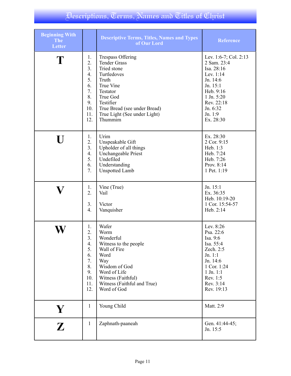| <b>Beginning With</b><br><b>The</b><br><b>Letter</b> |                                                                                       | <b>Descriptive Terms, Titles, Names and Types</b><br>of Our Lord                                                                                                                                                    | <b>Reference</b>                                                                                                                                                     |
|------------------------------------------------------|---------------------------------------------------------------------------------------|---------------------------------------------------------------------------------------------------------------------------------------------------------------------------------------------------------------------|----------------------------------------------------------------------------------------------------------------------------------------------------------------------|
| $\mathbf T$                                          | 1.<br>2.<br>3.<br>4.<br>5.<br>6.<br>7.<br>8.<br>9.<br>10.<br>11.<br>12.               | <b>Trespass Offering</b><br><b>Tender Grass</b><br>Tried stone<br>Turtledoves<br>Truth<br>True Vine<br>Testator<br>True God<br>Testifier<br>True Bread (see under Bread)<br>True Light (See under Light)<br>Thummim | Lev. 1:6-7; Col. 2:13<br>2 Sam. 23:4<br>Isa. 28:16<br>Lev. 1:14<br>Jn. 14:6<br>Jn. 15:1<br>Heb. 9:16<br>1 Jn. 5:20<br>Rev. 22:18<br>Jn. 6:32<br>Jn. 1:9<br>Ex. 28:30 |
| $\blacksquare$                                       | 1.<br>2.<br>3 <sub>1</sub><br>4.<br>5.<br>6.<br>7.                                    | Urim<br>Unspeakable Gift<br>Upholder of all things<br><b>Unchangeable Priest</b><br>Undefiled<br>Understanding<br><b>Unspotted Lamb</b>                                                                             | Ex. 28:30<br>2 Cor. 9:15<br>Heb. 1:3<br>Heb. 7:24<br>Heb. 7:26<br>Prov. 8:14<br>1 Pet. 1:19                                                                          |
|                                                      | 1.<br>2.<br>3.<br>4.                                                                  | Vine (True)<br>Vail<br>Victor<br>Vanquisher                                                                                                                                                                         | Jn. 15:1<br>Ex. 36:35<br>Heb. 10:19-20<br>1 Cor. 15:54-57<br>Heb. 2:14                                                                                               |
|                                                      | 1.<br>2.<br>$\overline{3}$ .<br>4.<br>5.<br>6.<br>7.<br>8.<br>9.<br>10.<br>11.<br>12. | Wafer<br>Worm<br>Wonderful<br>Witness to the people<br>Wall of Fire<br>Word<br>Way<br>Wisdom of God<br>Word of Life<br>Witness (Faithful)<br>Witness (Faithful and True)<br>Word of God                             | Lev. 8:26<br>Psa. 22:6<br>Isa. 9:6<br>Isa. 55:4<br>Zech. 2:5<br>Jn. 1:1<br>Jn. 14:6<br>1 Cor. 1:24<br>$1$ Jn. $1:1$<br>Rev. 1:5<br>Rev. 3:14<br>Rev. 19:13           |
| Y                                                    | $\mathbf{1}$                                                                          | Young Child                                                                                                                                                                                                         | Matt. 2:9                                                                                                                                                            |
| $\mathbf{Z}$                                         | $\mathbf{1}$                                                                          | Zaphnath-paaneah                                                                                                                                                                                                    | Gen. 41:44-45;<br>Jn. 15:5                                                                                                                                           |